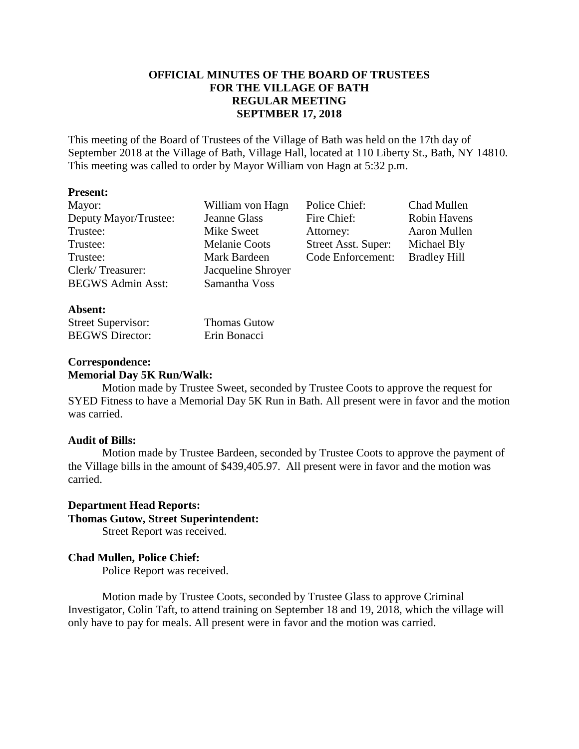## **OFFICIAL MINUTES OF THE BOARD OF TRUSTEES FOR THE VILLAGE OF BATH REGULAR MEETING SEPTMBER 17, 2018**

This meeting of the Board of Trustees of the Village of Bath was held on the 17th day of September 2018 at the Village of Bath, Village Hall, located at 110 Liberty St., Bath, NY 14810. This meeting was called to order by Mayor William von Hagn at 5:32 p.m.

### **Present:**

| Mayor:                   | William von Hagn     | Police Chief:       | Chad Mullen         |
|--------------------------|----------------------|---------------------|---------------------|
| Deputy Mayor/Trustee:    | Jeanne Glass         | Fire Chief:         | Robin Havens        |
| Trustee:                 | Mike Sweet           | Attorney:           | Aaron Mullen        |
| Trustee:                 | <b>Melanie Coots</b> | Street Asst. Super: | Michael Bly         |
| Trustee:                 | Mark Bardeen         | Code Enforcement:   | <b>Bradley Hill</b> |
| Clerk/Treasurer:         | Jacqueline Shroyer   |                     |                     |
| <b>BEGWS Admin Asst:</b> | Samantha Voss        |                     |                     |
| $A$ hsent $\cdot$        |                      |                     |                     |

| ----------                |                     |
|---------------------------|---------------------|
| <b>Street Supervisor:</b> | <b>Thomas Gutow</b> |
| <b>BEGWS</b> Director:    | Erin Bonacci        |

#### **Correspondence: Memorial Day 5K Run/Walk:**

Motion made by Trustee Sweet, seconded by Trustee Coots to approve the request for SYED Fitness to have a Memorial Day 5K Run in Bath. All present were in favor and the motion was carried.

## **Audit of Bills:**

Motion made by Trustee Bardeen, seconded by Trustee Coots to approve the payment of the Village bills in the amount of \$439,405.97. All present were in favor and the motion was carried.

# **Department Head Reports: Thomas Gutow, Street Superintendent:**

Street Report was received.

# **Chad Mullen, Police Chief:**

Police Report was received.

Motion made by Trustee Coots, seconded by Trustee Glass to approve Criminal Investigator, Colin Taft, to attend training on September 18 and 19, 2018, which the village will only have to pay for meals. All present were in favor and the motion was carried.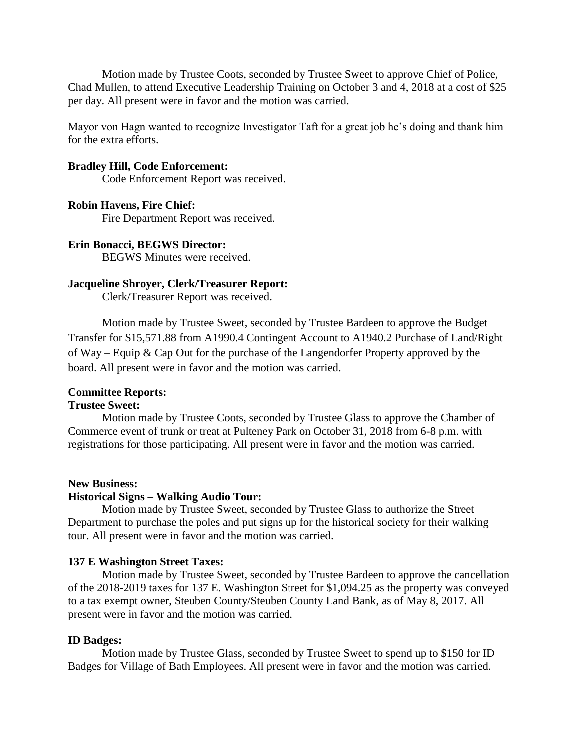Motion made by Trustee Coots, seconded by Trustee Sweet to approve Chief of Police, Chad Mullen, to attend Executive Leadership Training on October 3 and 4, 2018 at a cost of \$25 per day. All present were in favor and the motion was carried.

Mayor von Hagn wanted to recognize Investigator Taft for a great job he's doing and thank him for the extra efforts.

#### **Bradley Hill, Code Enforcement:**

Code Enforcement Report was received.

#### **Robin Havens, Fire Chief:**

Fire Department Report was received.

# **Erin Bonacci, BEGWS Director:**

BEGWS Minutes were received.

#### **Jacqueline Shroyer, Clerk/Treasurer Report:**

Clerk/Treasurer Report was received.

Motion made by Trustee Sweet, seconded by Trustee Bardeen to approve the Budget Transfer for \$15,571.88 from A1990.4 Contingent Account to A1940.2 Purchase of Land/Right of Way – Equip & Cap Out for the purchase of the Langendorfer Property approved by the board. All present were in favor and the motion was carried.

#### **Committee Reports:**

#### **Trustee Sweet:**

Motion made by Trustee Coots, seconded by Trustee Glass to approve the Chamber of Commerce event of trunk or treat at Pulteney Park on October 31, 2018 from 6-8 p.m. with registrations for those participating. All present were in favor and the motion was carried.

#### **New Business:**

## **Historical Signs – Walking Audio Tour:**

Motion made by Trustee Sweet, seconded by Trustee Glass to authorize the Street Department to purchase the poles and put signs up for the historical society for their walking tour. All present were in favor and the motion was carried.

#### **137 E Washington Street Taxes:**

Motion made by Trustee Sweet, seconded by Trustee Bardeen to approve the cancellation of the 2018-2019 taxes for 137 E. Washington Street for \$1,094.25 as the property was conveyed to a tax exempt owner, Steuben County/Steuben County Land Bank, as of May 8, 2017. All present were in favor and the motion was carried.

#### **ID Badges:**

Motion made by Trustee Glass, seconded by Trustee Sweet to spend up to \$150 for ID Badges for Village of Bath Employees. All present were in favor and the motion was carried.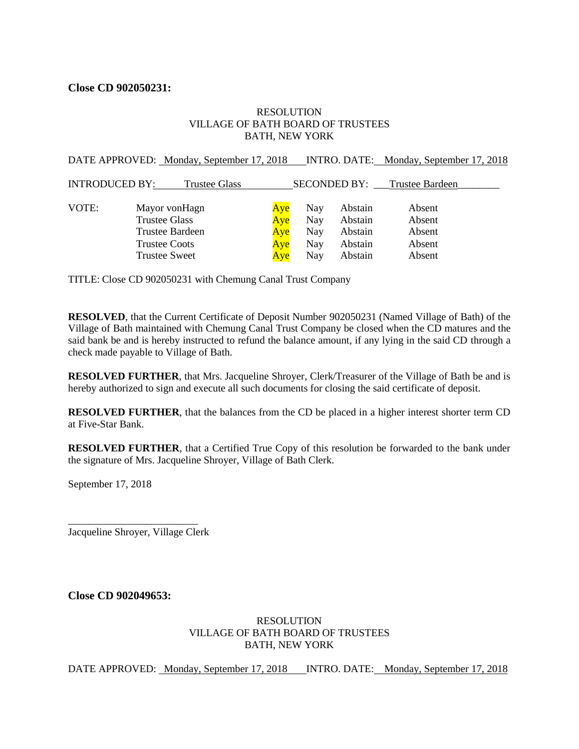## **Close CD 902050231:**

#### RESOLUTION VILLAGE OF BATH BOARD OF TRUSTEES BATH, NEW YORK

|     |                                           |         | INTRO. DATE: Monday, September 17, 2018 |
|-----|-------------------------------------------|---------|-----------------------------------------|
|     |                                           |         |                                         |
| Aye | Nay                                       | Abstain | Absent                                  |
| Aye | Nay                                       | Abstain | Absent                                  |
| Aye | Nay                                       | Abstain | Absent                                  |
| Aye | Nay                                       | Abstain | Absent                                  |
| Aye | Nav                                       | Abstain | Absent                                  |
|     | DATE APPROVED: Monday, September 17, 2018 |         | SECONDED BY: Trustee Bardeen            |

TITLE: Close CD 902050231 with Chemung Canal Trust Company

**RESOLVED**, that the Current Certificate of Deposit Number 902050231 (Named Village of Bath) of the Village of Bath maintained with Chemung Canal Trust Company be closed when the CD matures and the said bank be and is hereby instructed to refund the balance amount, if any lying in the said CD through a check made payable to Village of Bath.

**RESOLVED FURTHER**, that Mrs. Jacqueline Shroyer, Clerk/Treasurer of the Village of Bath be and is hereby authorized to sign and execute all such documents for closing the said certificate of deposit.

**RESOLVED FURTHER**, that the balances from the CD be placed in a higher interest shorter term CD at Five-Star Bank.

**RESOLVED FURTHER**, that a Certified True Copy of this resolution be forwarded to the bank under the signature of Mrs. Jacqueline Shroyer, Village of Bath Clerk.

September 17, 2018

\_\_\_\_\_\_\_\_\_\_\_\_\_\_\_\_\_\_\_\_\_\_\_\_\_ Jacqueline Shroyer, Village Clerk

**Close CD 902049653:**

#### RESOLUTION VILLAGE OF BATH BOARD OF TRUSTEES BATH, NEW YORK

DATE APPROVED: Monday, September 17, 2018 INTRO. DATE: Monday, September 17, 2018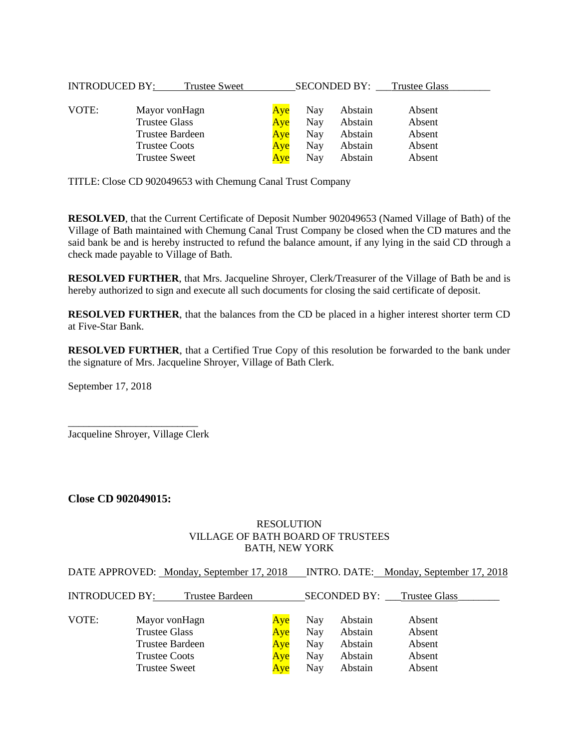| <b>INTRODUCED BY:</b> | Trustee Sweet        |     |     |         | SECONDED BY: Trustee Glass |
|-----------------------|----------------------|-----|-----|---------|----------------------------|
| VOTE:                 | Mayor vonHagn        | Aye | Nay | Abstain | Absent                     |
|                       | <b>Trustee Glass</b> | Aye | Nay | Abstain | Absent                     |
|                       | Trustee Bardeen      | Aye | Nay | Abstain | Absent                     |
|                       | <b>Trustee Coots</b> | Aye | Nay | Abstain | Absent                     |
|                       | <b>Trustee Sweet</b> | Ave | Nay | Abstain | Absent                     |

TITLE: Close CD 902049653 with Chemung Canal Trust Company

**RESOLVED**, that the Current Certificate of Deposit Number 902049653 (Named Village of Bath) of the Village of Bath maintained with Chemung Canal Trust Company be closed when the CD matures and the said bank be and is hereby instructed to refund the balance amount, if any lying in the said CD through a check made payable to Village of Bath.

**RESOLVED FURTHER**, that Mrs. Jacqueline Shroyer, Clerk/Treasurer of the Village of Bath be and is hereby authorized to sign and execute all such documents for closing the said certificate of deposit.

**RESOLVED FURTHER**, that the balances from the CD be placed in a higher interest shorter term CD at Five-Star Bank.

**RESOLVED FURTHER**, that a Certified True Copy of this resolution be forwarded to the bank under the signature of Mrs. Jacqueline Shroyer, Village of Bath Clerk.

September 17, 2018

\_\_\_\_\_\_\_\_\_\_\_\_\_\_\_\_\_\_\_\_\_\_\_\_\_ Jacqueline Shroyer, Village Clerk

#### **Close CD 902049015:**

#### RESOLUTION VILLAGE OF BATH BOARD OF TRUSTEES BATH, NEW YORK

DATE APPROVED: Monday, September 17, 2018 INTRO. DATE: Monday, September 17, 2018

| <b>INTRODUCED BY:</b> | Trustee Bardeen      |     |     | <b>SECONDED BY:</b> | Trustee Glass |  |
|-----------------------|----------------------|-----|-----|---------------------|---------------|--|
| VOTE:                 | Mayor von Hagn       | Aye | Nay | Abstain             | Absent        |  |
|                       | <b>Trustee Glass</b> | Aye | Nay | Abstain             | Absent        |  |
|                       | Trustee Bardeen      | Aye | Nay | Abstain             | Absent        |  |
|                       | <b>Trustee Coots</b> | Aye | Nay | Abstain             | Absent        |  |
|                       | <b>Trustee Sweet</b> | Aye | Nay | Abstain             | Absent        |  |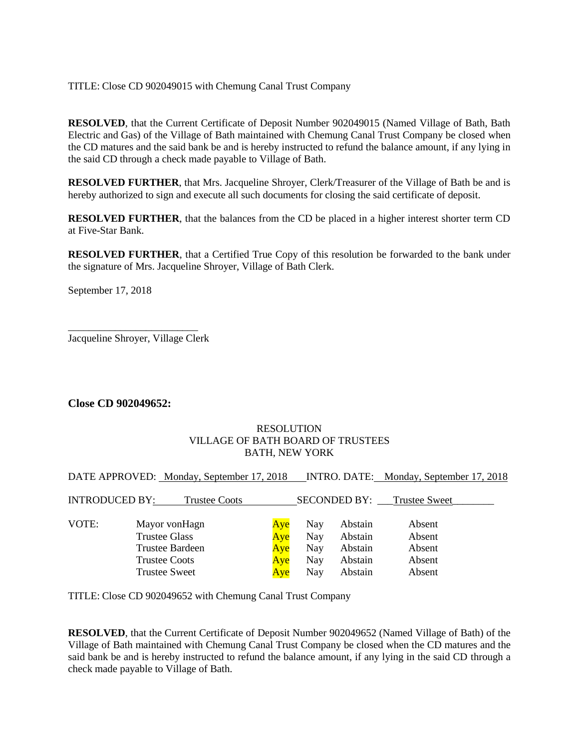### TITLE: Close CD 902049015 with Chemung Canal Trust Company

**RESOLVED**, that the Current Certificate of Deposit Number 902049015 (Named Village of Bath, Bath Electric and Gas) of the Village of Bath maintained with Chemung Canal Trust Company be closed when the CD matures and the said bank be and is hereby instructed to refund the balance amount, if any lying in the said CD through a check made payable to Village of Bath.

**RESOLVED FURTHER**, that Mrs. Jacqueline Shroyer, Clerk/Treasurer of the Village of Bath be and is hereby authorized to sign and execute all such documents for closing the said certificate of deposit.

**RESOLVED FURTHER**, that the balances from the CD be placed in a higher interest shorter term CD at Five-Star Bank.

**RESOLVED FURTHER**, that a Certified True Copy of this resolution be forwarded to the bank under the signature of Mrs. Jacqueline Shroyer, Village of Bath Clerk.

September 17, 2018

\_\_\_\_\_\_\_\_\_\_\_\_\_\_\_\_\_\_\_\_\_\_\_\_\_ Jacqueline Shroyer, Village Clerk

## **Close CD 902049652:**

#### RESOLUTION VILLAGE OF BATH BOARD OF TRUSTEES BATH, NEW YORK

DATE APPROVED: Monday, September 17, 2018 INTRO. DATE: Monday, September 17, 2018

| <b>INTRODUCED BY:</b> | <b>Trustee Coots</b> |     |     | <b>SECONDED BY:</b> | <b>Trustee Sweet</b> |
|-----------------------|----------------------|-----|-----|---------------------|----------------------|
| VOTE:                 | Mayor von Hagn       | Aye | Nay | Abstain             | Absent               |
|                       | <b>Trustee Glass</b> | Aye | Nay | Abstain             | Absent               |
|                       | Trustee Bardeen      | Aye | Nay | Abstain             | Absent               |
|                       | Trustee Coots        | Aye | Nay | Abstain             | Absent               |
|                       | <b>Trustee Sweet</b> | Aye | Nay | Abstain             | Absent               |

TITLE: Close CD 902049652 with Chemung Canal Trust Company

**RESOLVED**, that the Current Certificate of Deposit Number 902049652 (Named Village of Bath) of the Village of Bath maintained with Chemung Canal Trust Company be closed when the CD matures and the said bank be and is hereby instructed to refund the balance amount, if any lying in the said CD through a check made payable to Village of Bath.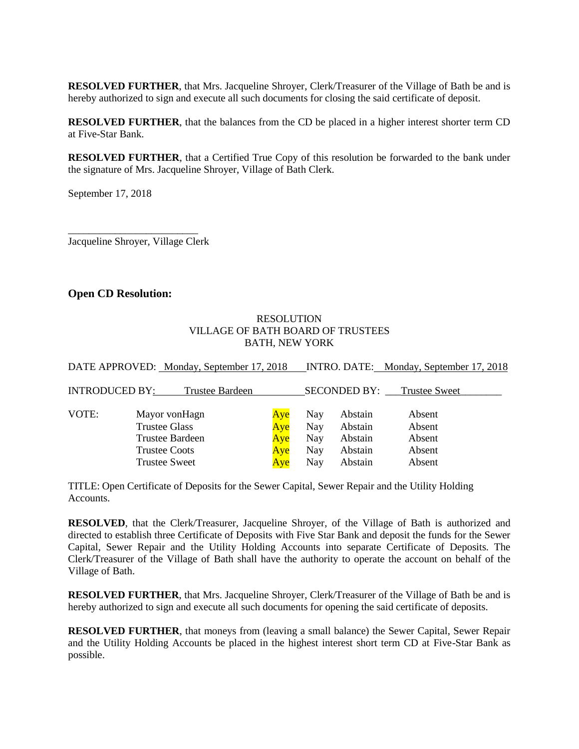**RESOLVED FURTHER**, that Mrs. Jacqueline Shroyer, Clerk/Treasurer of the Village of Bath be and is hereby authorized to sign and execute all such documents for closing the said certificate of deposit.

**RESOLVED FURTHER**, that the balances from the CD be placed in a higher interest shorter term CD at Five-Star Bank.

**RESOLVED FURTHER**, that a Certified True Copy of this resolution be forwarded to the bank under the signature of Mrs. Jacqueline Shroyer, Village of Bath Clerk.

September 17, 2018

\_\_\_\_\_\_\_\_\_\_\_\_\_\_\_\_\_\_\_\_\_\_\_\_\_ Jacqueline Shroyer, Village Clerk

#### **Open CD Resolution:**

#### RESOLUTION VILLAGE OF BATH BOARD OF TRUSTEES BATH, NEW YORK

DATE APPROVED: Monday, September 17, 2018 INTRO. DATE: Monday, September 17, 2018

| <b>INTRODUCED BY:</b> | Trustee Bardeen        |     |     | <b>SECONDED BY:</b> | <b>Trustee Sweet</b> |
|-----------------------|------------------------|-----|-----|---------------------|----------------------|
| VOTE:                 | Mayor vonHagn          | Aye | Nay | Abstain             | Absent               |
|                       | Trustee Glass          | Aye | Nay | Abstain             | Absent               |
|                       | <b>Trustee Bardeen</b> | Aye | Nay | Abstain             | Absent               |
|                       | <b>Trustee Coots</b>   | Aye | Nay | Abstain             | Absent               |
|                       | <b>Trustee Sweet</b>   | Aye | Nay | Abstain             | Absent               |

TITLE: Open Certificate of Deposits for the Sewer Capital, Sewer Repair and the Utility Holding **Accounts** 

**RESOLVED**, that the Clerk/Treasurer, Jacqueline Shroyer, of the Village of Bath is authorized and directed to establish three Certificate of Deposits with Five Star Bank and deposit the funds for the Sewer Capital, Sewer Repair and the Utility Holding Accounts into separate Certificate of Deposits. The Clerk/Treasurer of the Village of Bath shall have the authority to operate the account on behalf of the Village of Bath.

**RESOLVED FURTHER**, that Mrs. Jacqueline Shroyer, Clerk/Treasurer of the Village of Bath be and is hereby authorized to sign and execute all such documents for opening the said certificate of deposits.

**RESOLVED FURTHER**, that moneys from (leaving a small balance) the Sewer Capital, Sewer Repair and the Utility Holding Accounts be placed in the highest interest short term CD at Five-Star Bank as possible.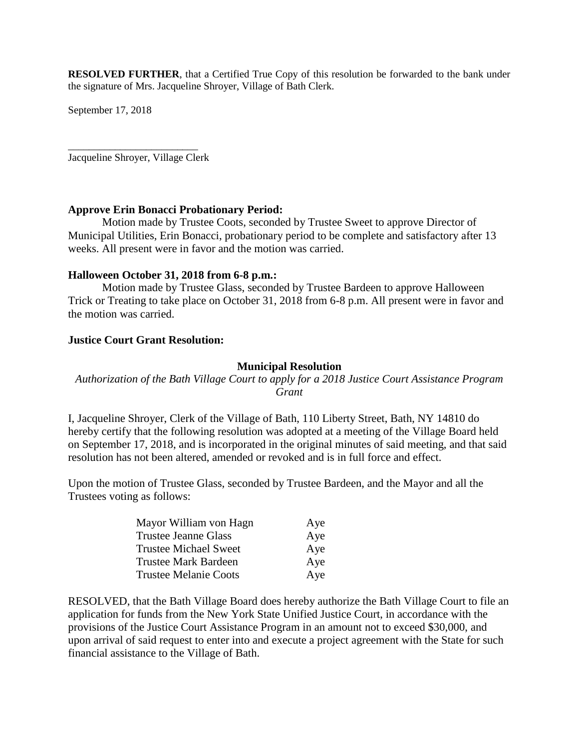**RESOLVED FURTHER**, that a Certified True Copy of this resolution be forwarded to the bank under the signature of Mrs. Jacqueline Shroyer, Village of Bath Clerk.

September 17, 2018

\_\_\_\_\_\_\_\_\_\_\_\_\_\_\_\_\_\_\_\_\_\_\_\_\_ Jacqueline Shroyer, Village Clerk

#### **Approve Erin Bonacci Probationary Period:**

Motion made by Trustee Coots, seconded by Trustee Sweet to approve Director of Municipal Utilities, Erin Bonacci, probationary period to be complete and satisfactory after 13 weeks. All present were in favor and the motion was carried.

## **Halloween October 31, 2018 from 6-8 p.m.:**

Motion made by Trustee Glass, seconded by Trustee Bardeen to approve Halloween Trick or Treating to take place on October 31, 2018 from 6-8 p.m. All present were in favor and the motion was carried.

## **Justice Court Grant Resolution:**

## **Municipal Resolution**

## *Authorization of the Bath Village Court to apply for a 2018 Justice Court Assistance Program Grant*

I, Jacqueline Shroyer, Clerk of the Village of Bath, 110 Liberty Street, Bath, NY 14810 do hereby certify that the following resolution was adopted at a meeting of the Village Board held on September 17, 2018, and is incorporated in the original minutes of said meeting, and that said resolution has not been altered, amended or revoked and is in full force and effect.

Upon the motion of Trustee Glass, seconded by Trustee Bardeen, and the Mayor and all the Trustees voting as follows:

| Mayor William von Hagn       | Aye |
|------------------------------|-----|
| <b>Trustee Jeanne Glass</b>  | Aye |
| <b>Trustee Michael Sweet</b> | Aye |
| <b>Trustee Mark Bardeen</b>  | Aye |
| <b>Trustee Melanie Coots</b> | Aye |

RESOLVED, that the Bath Village Board does hereby authorize the Bath Village Court to file an application for funds from the New York State Unified Justice Court, in accordance with the provisions of the Justice Court Assistance Program in an amount not to exceed \$30,000, and upon arrival of said request to enter into and execute a project agreement with the State for such financial assistance to the Village of Bath.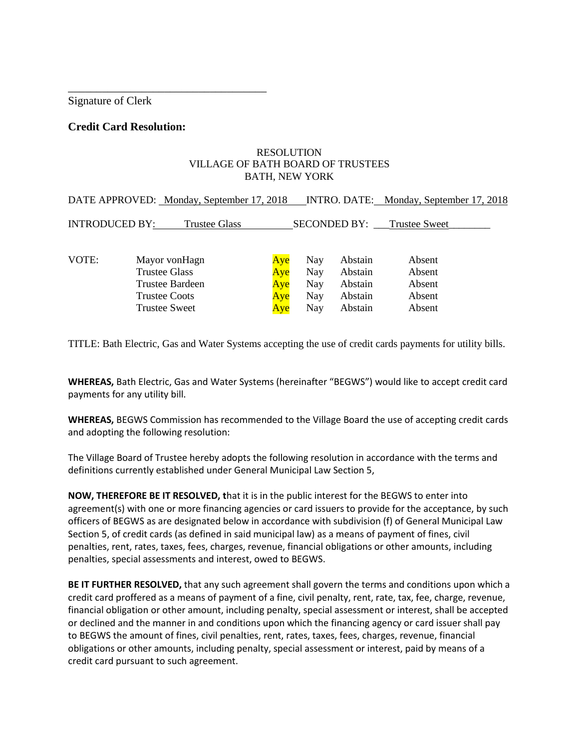Signature of Clerk

## **Credit Card Resolution:**

\_\_\_\_\_\_\_\_\_\_\_\_\_\_\_\_\_\_\_\_\_\_\_\_\_\_\_\_\_\_\_\_\_\_\_

#### RESOLUTION VILLAGE OF BATH BOARD OF TRUSTEES BATH, NEW YORK

|                       | DATE APPROVED: Monday, September 17, 2018    |            |                   |                    | INTRO. DATE: Monday, September 17, 2018 |  |
|-----------------------|----------------------------------------------|------------|-------------------|--------------------|-----------------------------------------|--|
| <b>INTRODUCED BY:</b> | Trustee Glass                                |            |                   | SECONDED BY:       | Trustee Sweet                           |  |
| VOTE:                 | Mayor vonHagn<br><b>Trustee Glass</b>        | Aye<br>Aye | Nay<br>Nay        | Abstain<br>Abstain | Absent<br>Absent                        |  |
|                       | <b>Trustee Bardeen</b>                       | Aye        | Nay               | Abstain            | Absent                                  |  |
|                       | <b>Trustee Coots</b><br><b>Trustee Sweet</b> | Aye<br>Aye | Nay<br><b>Nay</b> | Abstain<br>Abstain | Absent<br>Absent                        |  |

TITLE: Bath Electric, Gas and Water Systems accepting the use of credit cards payments for utility bills.

**WHEREAS,** Bath Electric, Gas and Water Systems (hereinafter "BEGWS") would like to accept credit card payments for any utility bill.

**WHEREAS,** BEGWS Commission has recommended to the Village Board the use of accepting credit cards and adopting the following resolution:

The Village Board of Trustee hereby adopts the following resolution in accordance with the terms and definitions currently established under General Municipal Law Section 5,

**NOW, THEREFORE BE IT RESOLVED, t**hat it is in the public interest for the BEGWS to enter into agreement(s) with one or more financing agencies or card issuers to provide for the acceptance, by such officers of BEGWS as are designated below in accordance with subdivision (f) of General Municipal Law Section 5, of credit cards (as defined in said municipal law) as a means of payment of fines, civil penalties, rent, rates, taxes, fees, charges, revenue, financial obligations or other amounts, including penalties, special assessments and interest, owed to BEGWS.

**BE IT FURTHER RESOLVED,** that any such agreement shall govern the terms and conditions upon which a credit card proffered as a means of payment of a fine, civil penalty, rent, rate, tax, fee, charge, revenue, financial obligation or other amount, including penalty, special assessment or interest, shall be accepted or declined and the manner in and conditions upon which the financing agency or card issuer shall pay to BEGWS the amount of fines, civil penalties, rent, rates, taxes, fees, charges, revenue, financial obligations or other amounts, including penalty, special assessment or interest, paid by means of a credit card pursuant to such agreement.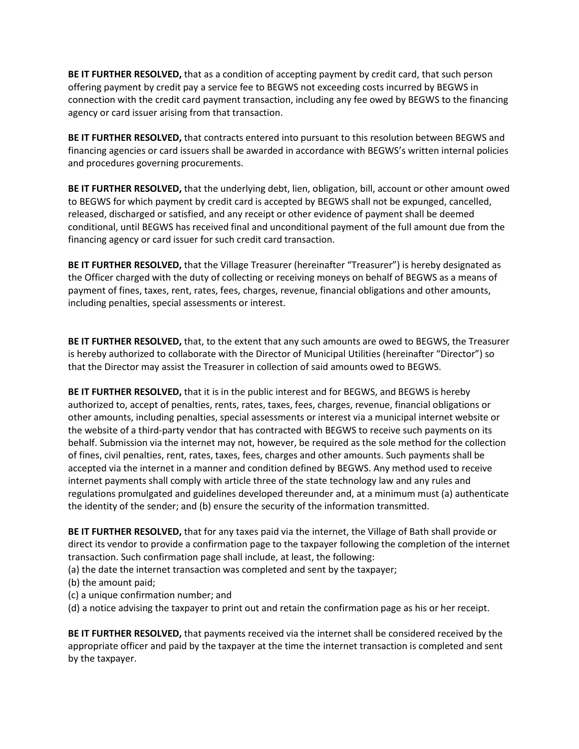**BE IT FURTHER RESOLVED,** that as a condition of accepting payment by credit card, that such person offering payment by credit pay a service fee to BEGWS not exceeding costs incurred by BEGWS in connection with the credit card payment transaction, including any fee owed by BEGWS to the financing agency or card issuer arising from that transaction.

**BE IT FURTHER RESOLVED,** that contracts entered into pursuant to this resolution between BEGWS and financing agencies or card issuers shall be awarded in accordance with BEGWS's written internal policies and procedures governing procurements.

**BE IT FURTHER RESOLVED,** that the underlying debt, lien, obligation, bill, account or other amount owed to BEGWS for which payment by credit card is accepted by BEGWS shall not be expunged, cancelled, released, discharged or satisfied, and any receipt or other evidence of payment shall be deemed conditional, until BEGWS has received final and unconditional payment of the full amount due from the financing agency or card issuer for such credit card transaction.

**BE IT FURTHER RESOLVED,** that the Village Treasurer (hereinafter "Treasurer") is hereby designated as the Officer charged with the duty of collecting or receiving moneys on behalf of BEGWS as a means of payment of fines, taxes, rent, rates, fees, charges, revenue, financial obligations and other amounts, including penalties, special assessments or interest.

**BE IT FURTHER RESOLVED,** that, to the extent that any such amounts are owed to BEGWS, the Treasurer is hereby authorized to collaborate with the Director of Municipal Utilities (hereinafter "Director") so that the Director may assist the Treasurer in collection of said amounts owed to BEGWS.

**BE IT FURTHER RESOLVED,** that it is in the public interest and for BEGWS, and BEGWS is hereby authorized to, accept of penalties, rents, rates, taxes, fees, charges, revenue, financial obligations or other amounts, including penalties, special assessments or interest via a municipal internet website or the website of a third-party vendor that has contracted with BEGWS to receive such payments on its behalf. Submission via the internet may not, however, be required as the sole method for the collection of fines, civil penalties, rent, rates, taxes, fees, charges and other amounts. Such payments shall be accepted via the internet in a manner and condition defined by BEGWS. Any method used to receive internet payments shall comply with article three of the state technology law and any rules and regulations promulgated and guidelines developed thereunder and, at a minimum must (a) authenticate the identity of the sender; and (b) ensure the security of the information transmitted.

**BE IT FURTHER RESOLVED,** that for any taxes paid via the internet, the Village of Bath shall provide or direct its vendor to provide a confirmation page to the taxpayer following the completion of the internet transaction. Such confirmation page shall include, at least, the following:

- (a) the date the internet transaction was completed and sent by the taxpayer;
- (b) the amount paid;
- (c) a unique confirmation number; and
- (d) a notice advising the taxpayer to print out and retain the confirmation page as his or her receipt.

**BE IT FURTHER RESOLVED,** that payments received via the internet shall be considered received by the appropriate officer and paid by the taxpayer at the time the internet transaction is completed and sent by the taxpayer.